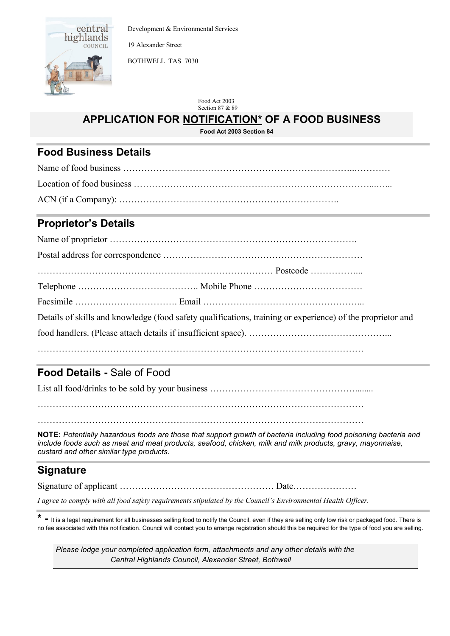



19 Alexander Street

BOTHWELL TAS 7030

Food Act 2003 Section 87 & 89

# **APPLICATION FOR NOTIFICATION\* OF A FOOD BUSINESS**

**Food Act 2003 Section 84**

#### **Food Business Details** Phone: (03) 6259 5503

#### **Proprietor's Details**

| Details of skills and knowledge (food safety qualifications, training or experience) of the proprietor and |
|------------------------------------------------------------------------------------------------------------|
|                                                                                                            |
|                                                                                                            |

## **Food Details -** Sale of Food

List all food/drinks to be sold by your business …………………………………………........

……………………………………………………………………………………………… ………………………………………………………………………………………………

**NOTE:** *Potentially hazardous foods are those that support growth of bacteria including food poisoning bacteria and include foods such as meat and meat products, seafood, chicken, milk and milk products, gravy, mayonnaise, custard and other similar type products.*

## **Signature**

Signature of applicant …………………………………………… Date…………………

*I agree to comply with all food safety requirements stipulated by the Council's Environmental Health Officer.*

\* - It is a legal requirement for all businesses selling food to notify the Council, even if they are selling only low risk or packaged food. There is no fee associated with this notification. Council will contact you to arrange registration should this be required for the type of food you are selling.

 *Please lodge your completed application form, attachments and any other details with the Central Highlands Council, Alexander Street, Bothwell*